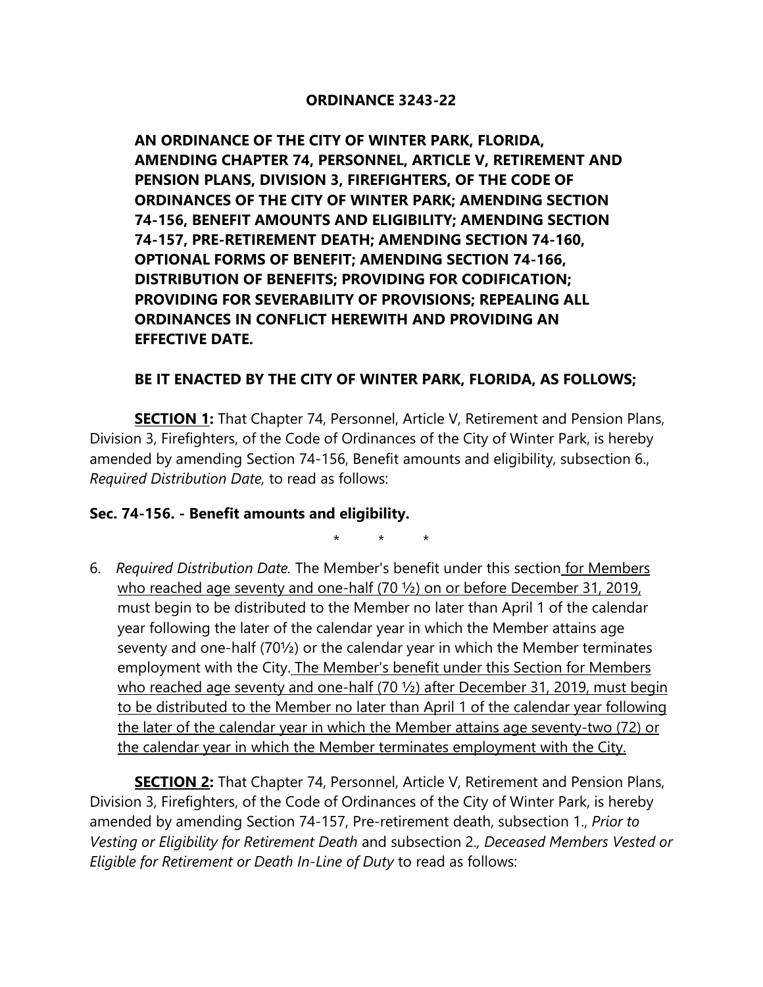#### **ORDINANCE 3243-22**

**AN ORDINANCE OF THE CITY OF WINTER PARK, FLORIDA, AMENDING CHAPTER 74, PERSONNEL, ARTICLE V, RETIREMENT AND PENSION PLANS, DIVISION 3, FIREFIGHTERS, OF THE CODE OF ORDINANCES OF THE CITY OF WINTER PARK; AMENDING SECTION 74-156, BENEFIT AMOUNTS AND ELIGIBILITY; AMENDING SECTION 74-157, PRE-RETIREMENT DEATH; AMENDING SECTION 74-160, OPTIONAL FORMS OF BENEFIT; AMENDING SECTION 74-166, DISTRIBUTION OF BENEFITS; PROVIDING FOR CODIFICATION; PROVIDING FOR SEVERABILITY OF PROVISIONS; REPEALING ALL ORDINANCES IN CONFLICT HEREWITH AND PROVIDING AN EFFECTIVE DATE.**

### **BE IT ENACTED BY THE CITY OF WINTER PARK, FLORIDA, AS FOLLOWS;**

**SECTION 1:** That Chapter 74, Personnel, Article V, Retirement and Pension Plans, Division 3, Firefighters, of the Code of Ordinances of the City of Winter Park, is hereby amended by amending Section 74-156, Benefit amounts and eligibility, subsection 6., *Required Distribution Date,* to read as follows:

#### **Sec. 74-156. - Benefit amounts and eligibility.**

\* \* \*

6. *Required Distribution Date.* The Member's benefit under this section for Members who reached age seventy and one-half (70 ½) on or before December 31, 2019, must begin to be distributed to the Member no later than April 1 of the calendar year following the later of the calendar year in which the Member attains age seventy and one-half (70½) or the calendar year in which the Member terminates employment with the City. The Member's benefit under this Section for Members who reached age seventy and one-half (70  $\frac{1}{2}$ ) after December 31, 2019, must begin to be distributed to the Member no later than April 1 of the calendar year following the later of the calendar year in which the Member attains age seventy-two (72) or the calendar year in which the Member terminates employment with the City.

**SECTION 2:** That Chapter 74, Personnel, Article V, Retirement and Pension Plans, Division 3, Firefighters, of the Code of Ordinances of the City of Winter Park, is hereby amended by amending Section 74-157, Pre-retirement death, subsection 1., *Prior to Vesting or Eligibility for Retirement Death* and subsection 2.*, Deceased Members Vested or Eligible for Retirement or Death In-Line of Duty* to read as follows: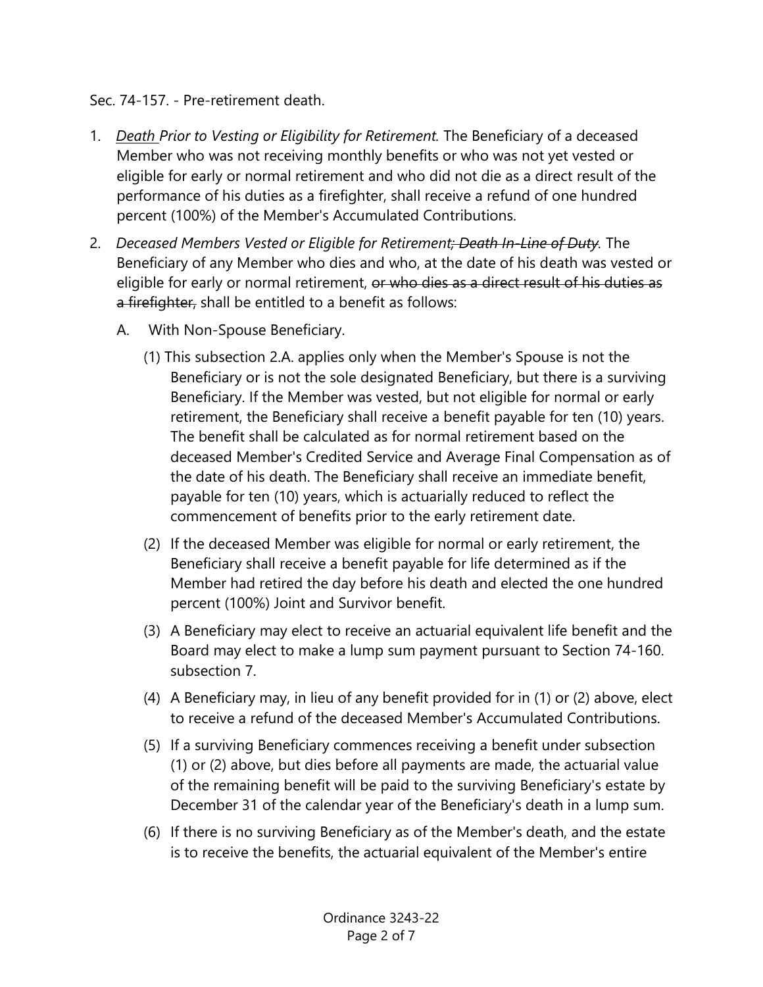## Sec. 74-157. - Pre-retirement death.

- 1. *Death Prior to Vesting or Eligibility for Retirement.* The Beneficiary of a deceased Member who was not receiving monthly benefits or who was not yet vested or eligible for early or normal retirement and who did not die as a direct result of the performance of his duties as a firefighter, shall receive a refund of one hundred percent (100%) of the Member's Accumulated Contributions.
- 2. *Deceased Members Vested or Eligible for Retirement; Death In-Line of Duty.* The Beneficiary of any Member who dies and who, at the date of his death was vested or eligible for early or normal retirement, or who dies as a direct result of his duties as a firefighter, shall be entitled to a benefit as follows:
	- A. With Non-Spouse Beneficiary.
		- (1) This subsection 2.A. applies only when the Member's Spouse is not the Beneficiary or is not the sole designated Beneficiary, but there is a surviving Beneficiary. If the Member was vested, but not eligible for normal or early retirement, the Beneficiary shall receive a benefit payable for ten (10) years. The benefit shall be calculated as for normal retirement based on the deceased Member's Credited Service and Average Final Compensation as of the date of his death. The Beneficiary shall receive an immediate benefit, payable for ten (10) years, which is actuarially reduced to reflect the commencement of benefits prior to the early retirement date.
		- (2) If the deceased Member was eligible for normal or early retirement, the Beneficiary shall receive a benefit payable for life determined as if the Member had retired the day before his death and elected the one hundred percent (100%) Joint and Survivor benefit.
		- (3) A Beneficiary may elect to receive an actuarial equivalent life benefit and the Board may elect to make a lump sum payment pursuant to Section 74-160. subsection 7.
		- (4) A Beneficiary may, in lieu of any benefit provided for in (1) or (2) above, elect to receive a refund of the deceased Member's Accumulated Contributions.
		- (5) If a surviving Beneficiary commences receiving a benefit under subsection (1) or (2) above, but dies before all payments are made, the actuarial value of the remaining benefit will be paid to the surviving Beneficiary's estate by December 31 of the calendar year of the Beneficiary's death in a lump sum.
		- (6) If there is no surviving Beneficiary as of the Member's death, and the estate is to receive the benefits, the actuarial equivalent of the Member's entire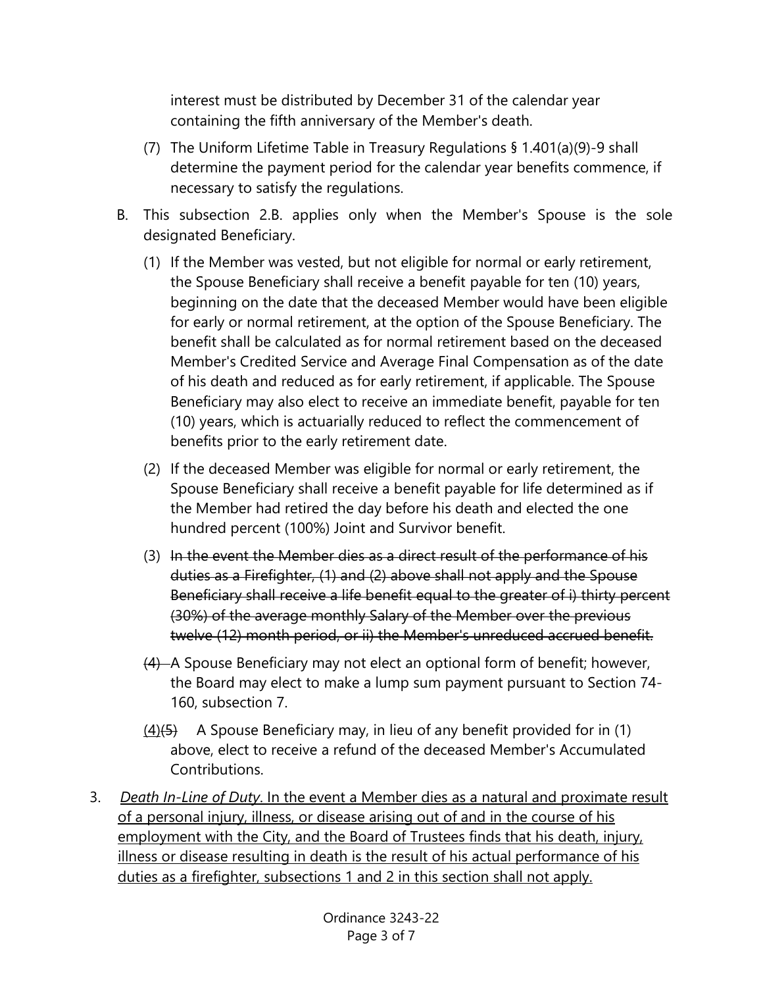interest must be distributed by December 31 of the calendar year containing the fifth anniversary of the Member's death.

- (7) The Uniform Lifetime Table in Treasury Regulations § 1.401(a)(9)-9 shall determine the payment period for the calendar year benefits commence, if necessary to satisfy the regulations.
- B. This subsection 2.B. applies only when the Member's Spouse is the sole designated Beneficiary.
	- (1) If the Member was vested, but not eligible for normal or early retirement, the Spouse Beneficiary shall receive a benefit payable for ten (10) years, beginning on the date that the deceased Member would have been eligible for early or normal retirement, at the option of the Spouse Beneficiary. The benefit shall be calculated as for normal retirement based on the deceased Member's Credited Service and Average Final Compensation as of the date of his death and reduced as for early retirement, if applicable. The Spouse Beneficiary may also elect to receive an immediate benefit, payable for ten (10) years, which is actuarially reduced to reflect the commencement of benefits prior to the early retirement date.
	- (2) If the deceased Member was eligible for normal or early retirement, the Spouse Beneficiary shall receive a benefit payable for life determined as if the Member had retired the day before his death and elected the one hundred percent (100%) Joint and Survivor benefit.
	- (3) In the event the Member dies as a direct result of the performance of his duties as a Firefighter, (1) and (2) above shall not apply and the Spouse Beneficiary shall receive a life benefit equal to the greater of i) thirty percent (30%) of the average monthly Salary of the Member over the previous twelve (12) month period, or ii) the Member's unreduced accrued benefit.
	- (4) A Spouse Beneficiary may not elect an optional form of benefit; however, the Board may elect to make a lump sum payment pursuant to Section 74- 160, subsection 7.
	- $(4)$ (5) A Spouse Beneficiary may, in lieu of any benefit provided for in (1) above, elect to receive a refund of the deceased Member's Accumulated Contributions.
- 3. *Death In-Line of Duty*. In the event a Member dies as a natural and proximate result of a personal injury, illness, or disease arising out of and in the course of his employment with the City, and the Board of Trustees finds that his death, injury, illness or disease resulting in death is the result of his actual performance of his duties as a firefighter, subsections 1 and 2 in this section shall not apply.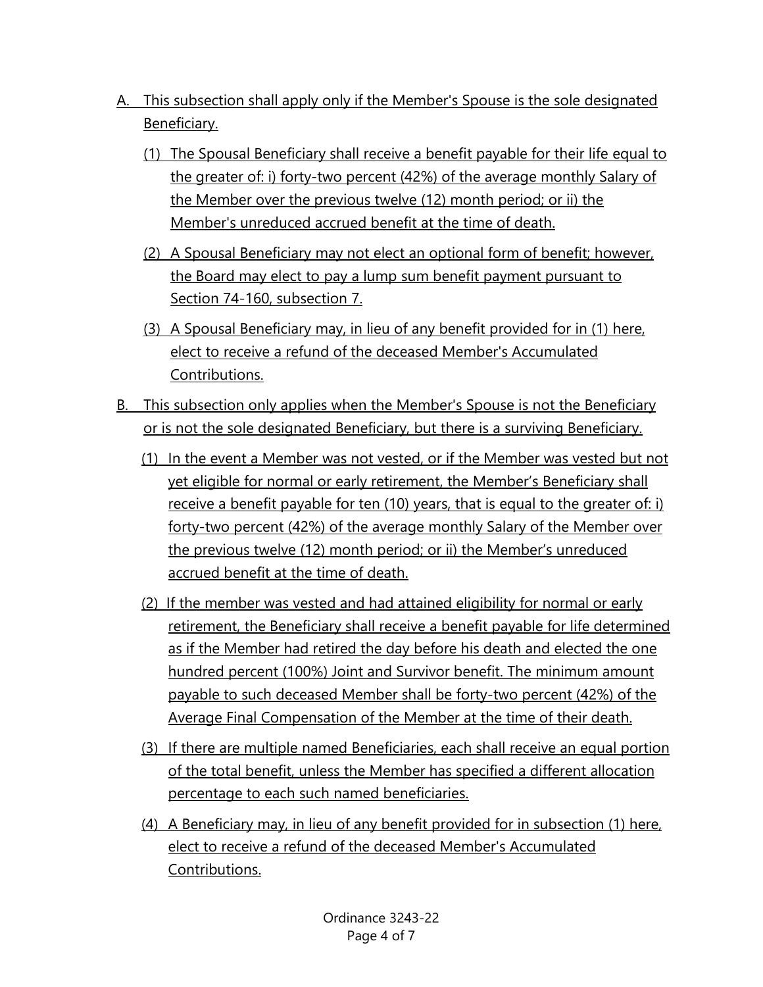- A. This subsection shall apply only if the Member's Spouse is the sole designated Beneficiary.
	- (1) The Spousal Beneficiary shall receive a benefit payable for their life equal to the greater of: i) forty-two percent (42%) of the average monthly Salary of the Member over the previous twelve (12) month period; or ii) the Member's unreduced accrued benefit at the time of death.
	- (2) A Spousal Beneficiary may not elect an optional form of benefit; however, the Board may elect to pay a lump sum benefit payment pursuant to Section 74-160, subsection 7.
	- (3) A Spousal Beneficiary may, in lieu of any benefit provided for in (1) here, elect to receive a refund of the deceased Member's Accumulated Contributions.
- B. This subsection only applies when the Member's Spouse is not the Beneficiary or is not the sole designated Beneficiary, but there is a surviving Beneficiary.
	- (1) In the event a Member was not vested, or if the Member was vested but not yet eligible for normal or early retirement, the Member's Beneficiary shall receive a benefit payable for ten (10) years, that is equal to the greater of: i) forty-two percent (42%) of the average monthly Salary of the Member over the previous twelve (12) month period; or ii) the Member's unreduced accrued benefit at the time of death.
	- (2) If the member was vested and had attained eligibility for normal or early retirement, the Beneficiary shall receive a benefit payable for life determined as if the Member had retired the day before his death and elected the one hundred percent (100%) Joint and Survivor benefit. The minimum amount payable to such deceased Member shall be forty-two percent (42%) of the Average Final Compensation of the Member at the time of their death.
	- (3) If there are multiple named Beneficiaries, each shall receive an equal portion of the total benefit, unless the Member has specified a different allocation percentage to each such named beneficiaries.
	- (4) A Beneficiary may, in lieu of any benefit provided for in subsection (1) here, elect to receive a refund of the deceased Member's Accumulated Contributions.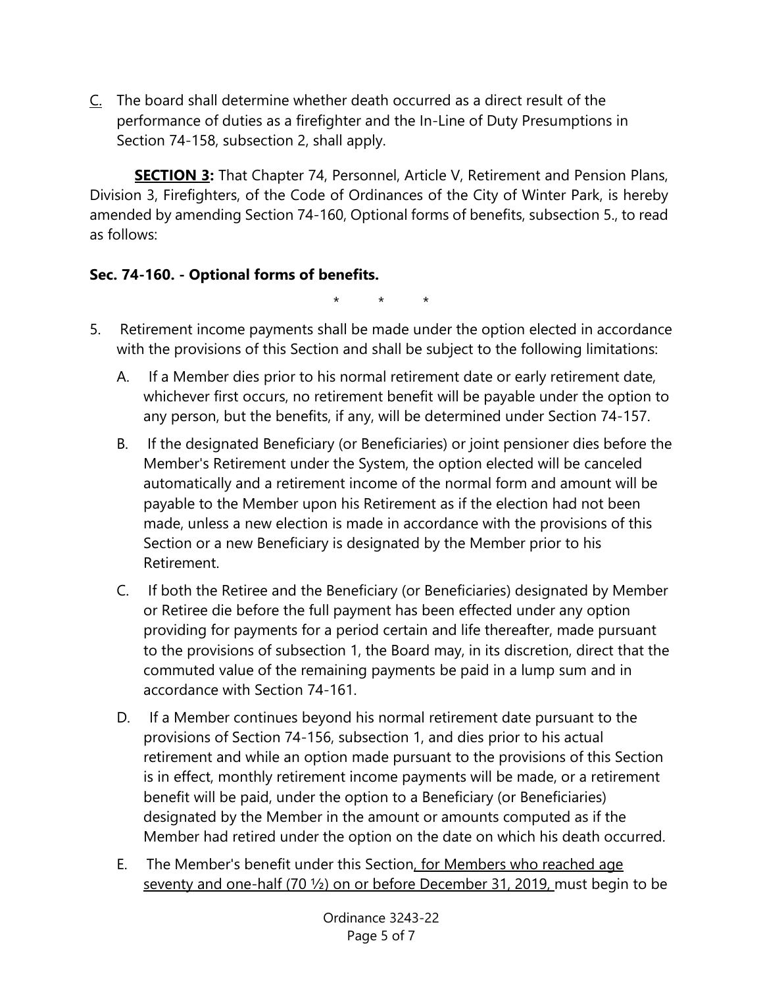C. The board shall determine whether death occurred as a direct result of the performance of duties as a firefighter and the In-Line of Duty Presumptions in Section 74-158, subsection 2, shall apply.

**SECTION 3:** That Chapter 74, Personnel, Article V, Retirement and Pension Plans, Division 3, Firefighters, of the Code of Ordinances of the City of Winter Park, is hereby amended by amending Section 74-160, Optional forms of benefits, subsection 5., to read as follows:

## **Sec. 74-160. - Optional forms of benefits.**

\* \* \*

- 5. Retirement income payments shall be made under the option elected in accordance with the provisions of this Section and shall be subject to the following limitations:
	- A. If a Member dies prior to his normal retirement date or early retirement date, whichever first occurs, no retirement benefit will be payable under the option to any person, but the benefits, if any, will be determined under Section 74-157.
	- B. If the designated Beneficiary (or Beneficiaries) or joint pensioner dies before the Member's Retirement under the System, the option elected will be canceled automatically and a retirement income of the normal form and amount will be payable to the Member upon his Retirement as if the election had not been made, unless a new election is made in accordance with the provisions of this Section or a new Beneficiary is designated by the Member prior to his Retirement.
	- C. If both the Retiree and the Beneficiary (or Beneficiaries) designated by Member or Retiree die before the full payment has been effected under any option providing for payments for a period certain and life thereafter, made pursuant to the provisions of subsection 1, the Board may, in its discretion, direct that the commuted value of the remaining payments be paid in a lump sum and in accordance with Section 74-161.
	- D. If a Member continues beyond his normal retirement date pursuant to the provisions of Section 74-156, subsection 1, and dies prior to his actual retirement and while an option made pursuant to the provisions of this Section is in effect, monthly retirement income payments will be made, or a retirement benefit will be paid, under the option to a Beneficiary (or Beneficiaries) designated by the Member in the amount or amounts computed as if the Member had retired under the option on the date on which his death occurred.
	- E. The Member's benefit under this Section, for Members who reached age seventy and one-half (70 ½) on or before December 31, 2019, must begin to be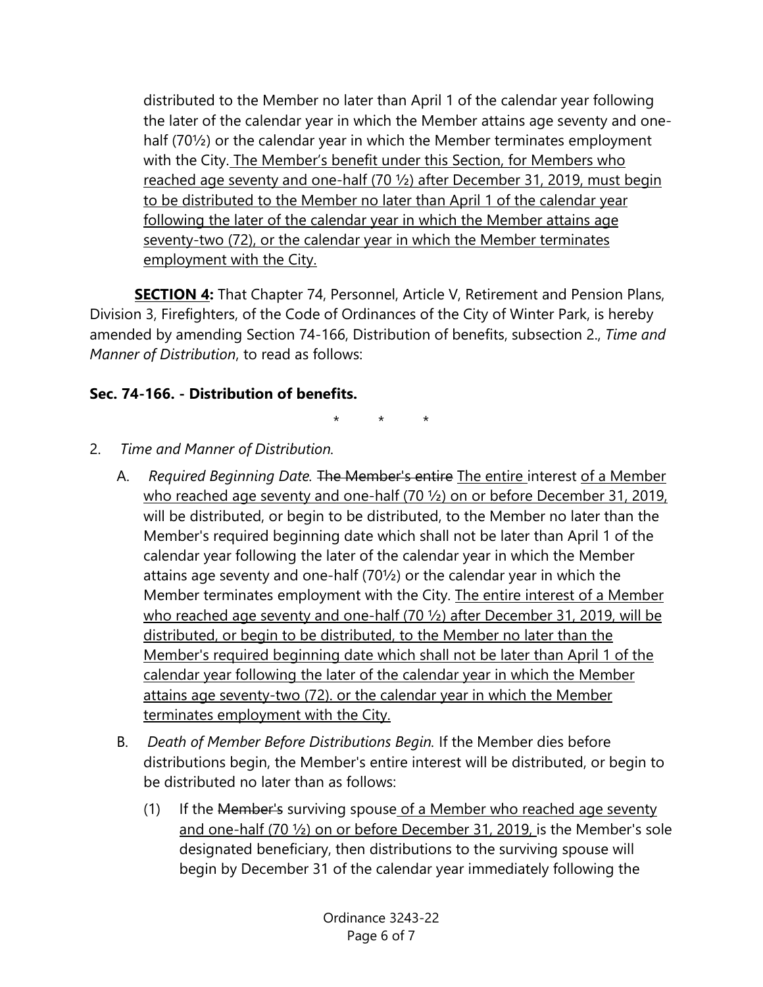distributed to the Member no later than April 1 of the calendar year following the later of the calendar year in which the Member attains age seventy and onehalf (70½) or the calendar year in which the Member terminates employment with the City. The Member's benefit under this Section, for Members who reached age seventy and one-half (70 ½) after December 31, 2019, must begin to be distributed to the Member no later than April 1 of the calendar year following the later of the calendar year in which the Member attains age seventy-two (72), or the calendar year in which the Member terminates employment with the City.

**SECTION 4:** That Chapter 74, Personnel, Article V, Retirement and Pension Plans, Division 3, Firefighters, of the Code of Ordinances of the City of Winter Park, is hereby amended by amending Section 74-166, Distribution of benefits, subsection 2., *Time and Manner of Distribution*, to read as follows:

# **Sec. 74-166. - Distribution of benefits.**

\* \* \*

- 2. *Time and Manner of Distribution.*
	- A. *Required Beginning Date.* The Member's entire The entire interest of a Member who reached age seventy and one-half (70  $\frac{1}{2}$ ) on or before December 31, 2019, will be distributed, or begin to be distributed, to the Member no later than the Member's required beginning date which shall not be later than April 1 of the calendar year following the later of the calendar year in which the Member attains age seventy and one-half (70½) or the calendar year in which the Member terminates employment with the City. The entire interest of a Member who reached age seventy and one-half (70 <sup>1</sup>/<sub>2</sub>) after December 31, 2019, will be distributed, or begin to be distributed, to the Member no later than the Member's required beginning date which shall not be later than April 1 of the calendar year following the later of the calendar year in which the Member attains age seventy-two (72). or the calendar year in which the Member terminates employment with the City.
	- B. *Death of Member Before Distributions Begin.* If the Member dies before distributions begin, the Member's entire interest will be distributed, or begin to be distributed no later than as follows:
		- (1) If the Member's surviving spouse of a Member who reached age seventy and one-half (70 ½) on or before December 31, 2019, is the Member's sole designated beneficiary, then distributions to the surviving spouse will begin by December 31 of the calendar year immediately following the